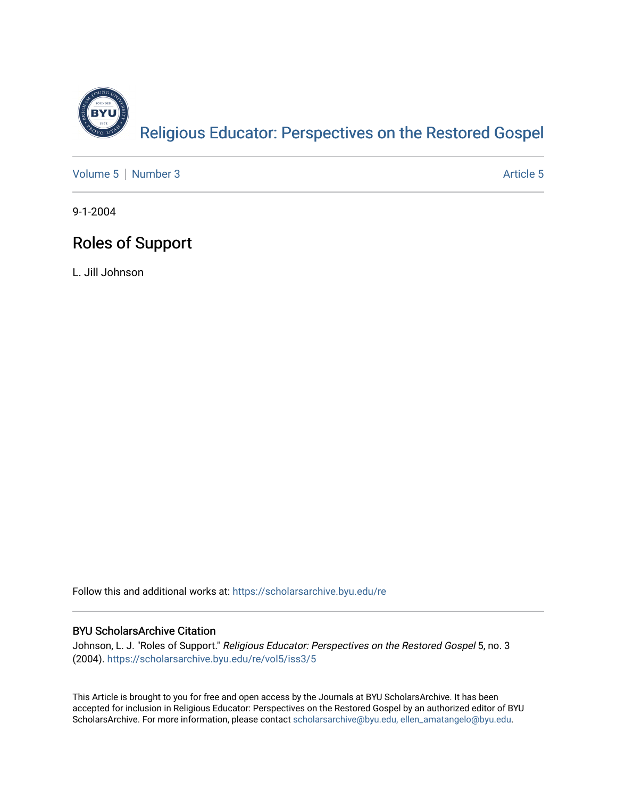

[Volume 5](https://scholarsarchive.byu.edu/re/vol5) | [Number 3](https://scholarsarchive.byu.edu/re/vol5/iss3) Article 5

9-1-2004

## Roles of Support

L. Jill Johnson

Follow this and additional works at: [https://scholarsarchive.byu.edu/re](https://scholarsarchive.byu.edu/re?utm_source=scholarsarchive.byu.edu%2Fre%2Fvol5%2Fiss3%2F5&utm_medium=PDF&utm_campaign=PDFCoverPages)

## BYU ScholarsArchive Citation

Johnson, L. J. "Roles of Support." Religious Educator: Perspectives on the Restored Gospel 5, no. 3 (2004). [https://scholarsarchive.byu.edu/re/vol5/iss3/5](https://scholarsarchive.byu.edu/re/vol5/iss3/5?utm_source=scholarsarchive.byu.edu%2Fre%2Fvol5%2Fiss3%2F5&utm_medium=PDF&utm_campaign=PDFCoverPages) 

This Article is brought to you for free and open access by the Journals at BYU ScholarsArchive. It has been accepted for inclusion in Religious Educator: Perspectives on the Restored Gospel by an authorized editor of BYU ScholarsArchive. For more information, please contact [scholarsarchive@byu.edu, ellen\\_amatangelo@byu.edu.](mailto:scholarsarchive@byu.edu,%20ellen_amatangelo@byu.edu)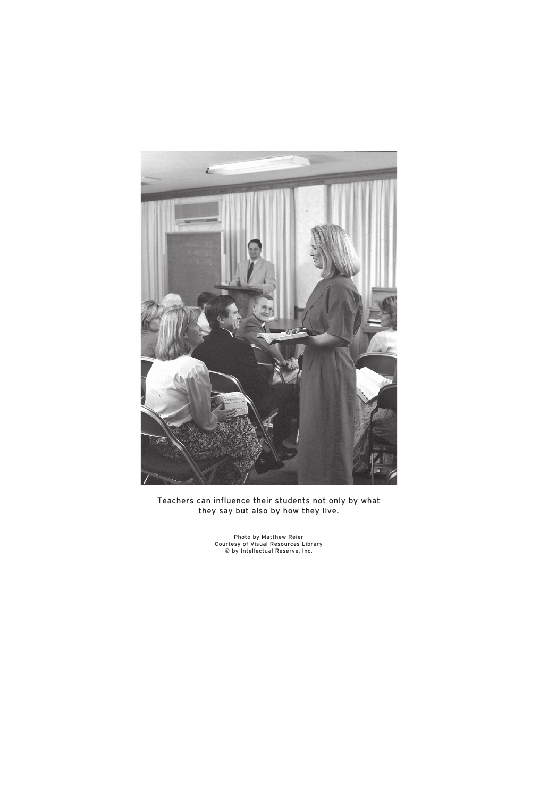

Teachers can influence their students not only by what they say but also by how they live.

Photo by Matthew Reier Courtesy of Visual Resources Library © by Intellectual Reserve, Inc.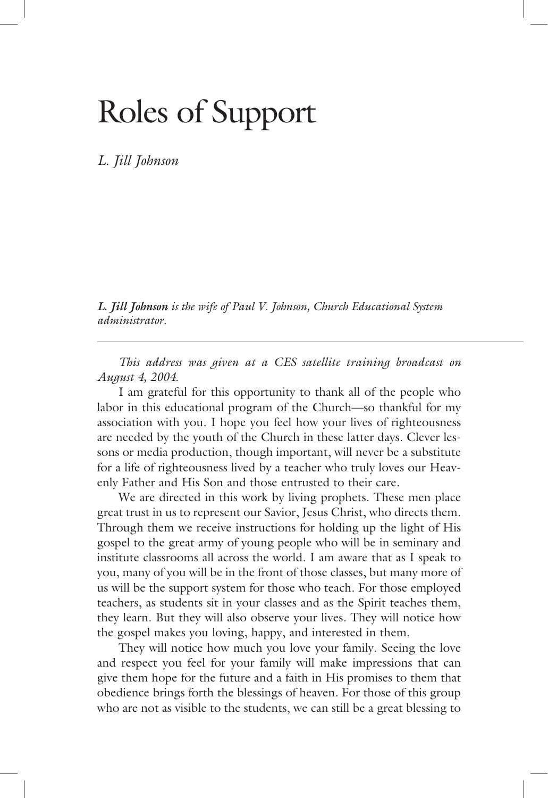## Roles of Support

*L. Jill Johnson* 

*L. Jill Johnson is the wife of Paul V. Johnson, Church Educational System is the wife of Paul V. Johnson, Church Educational System administrator.*

 *This address was given at a CES satellite training broadcast on August 4, 2004.*

 I am grateful for this opportunity to thank all of the people who labor in this educational program of the Church—so thankful for my association with you. I hope you feel how your lives of righteousness are needed by the youth of the Church in these latter days. Clever lessons or media production, though important, will never be a substitute for a life of righteousness lived by a teacher who truly loves our Heavenly Father and His Son and those entrusted to their care.

 We are directed in this work by living prophets. These men place great trust in us to represent our Savior, Jesus Christ, who directs them. Through them we receive instructions for holding up the light of His gospel to the great army of young people who will be in seminary and institute classrooms all across the world. I am aware that as I speak to you, many of you will be in the front of those classes, but many more of us will be the support system for those who teach. For those employed teachers, as students sit in your classes and as the Spirit teaches them, they learn. But they will also observe your lives. They will notice how the gospel makes you loving, happy, and interested in them.

 They will notice how much you love your family. Seeing the love and respect you feel for your family will make impressions that can give them hope for the future and a faith in His promises to them that obedience brings forth the blessings of heaven. For those of this group who are not as visible to the students, we can still be a great blessing to